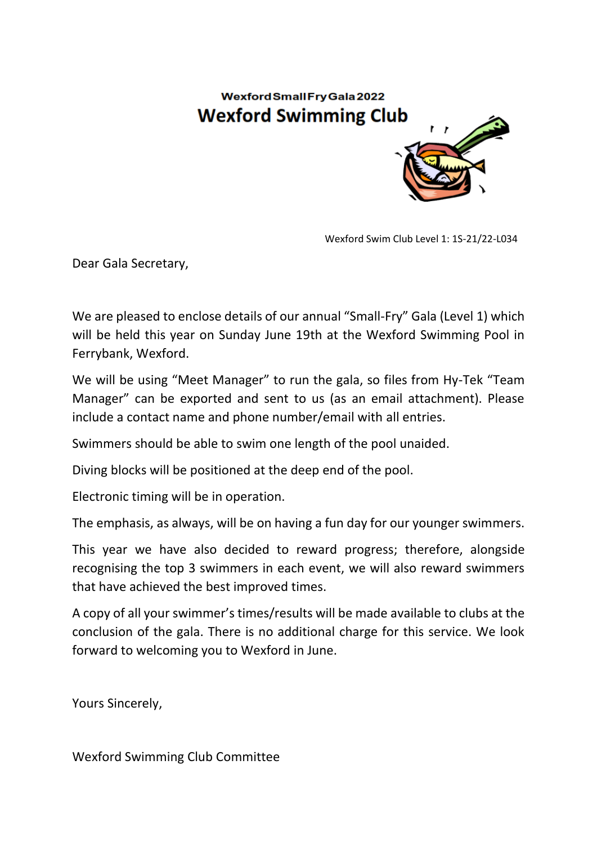## **Wexford Small Fry Gala 2022 Wexford Swimming Club**



Wexford Swim Club Level 1: 1S-21/22-L034

Dear Gala Secretary,

We are pleased to enclose details of our annual "Small-Fry" Gala (Level 1) which will be held this year on Sunday June 19th at the Wexford Swimming Pool in Ferrybank, Wexford.

We will be using "Meet Manager" to run the gala, so files from Hy-Tek "Team Manager" can be exported and sent to us (as an email attachment). Please include a contact name and phone number/email with all entries.

Swimmers should be able to swim one length of the pool unaided.

Diving blocks will be positioned at the deep end of the pool.

Electronic timing will be in operation.

The emphasis, as always, will be on having a fun day for our younger swimmers.

This year we have also decided to reward progress; therefore, alongside recognising the top 3 swimmers in each event, we will also reward swimmers that have achieved the best improved times.

A copy of all your swimmer's times/results will be made available to clubs at the conclusion of the gala. There is no additional charge for this service. We look forward to welcoming you to Wexford in June.

Yours Sincerely,

Wexford Swimming Club Committee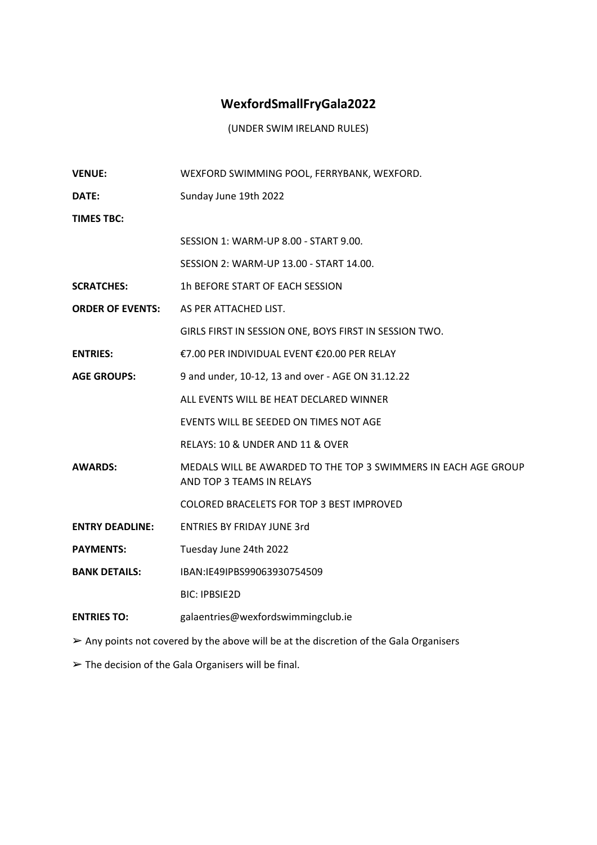## **WexfordSmallFryGala2022**

(UNDER SWIM IRELAND RULES)

| <b>VENUE:</b>           | WEXFORD SWIMMING POOL, FERRYBANK, WEXFORD.                                                  |
|-------------------------|---------------------------------------------------------------------------------------------|
| DATE:                   | Sunday June 19th 2022                                                                       |
| <b>TIMES TBC:</b>       |                                                                                             |
|                         | SESSION 1: WARM-UP 8.00 - START 9.00.                                                       |
|                         | SESSION 2: WARM-UP 13.00 - START 14.00.                                                     |
| <b>SCRATCHES:</b>       | 1h BEFORE START OF EACH SESSION                                                             |
| <b>ORDER OF EVENTS:</b> | AS PER ATTACHED LIST.                                                                       |
|                         | GIRLS FIRST IN SESSION ONE, BOYS FIRST IN SESSION TWO.                                      |
| <b>ENTRIES:</b>         | €7.00 PER INDIVIDUAL EVENT €20.00 PER RELAY                                                 |
| <b>AGE GROUPS:</b>      | 9 and under, 10-12, 13 and over - AGE ON 31.12.22                                           |
|                         | ALL EVENTS WILL BE HEAT DECLARED WINNER                                                     |
|                         | EVENTS WILL BE SEEDED ON TIMES NOT AGE                                                      |
|                         | RELAYS: 10 & UNDER AND 11 & OVER                                                            |
| <b>AWARDS:</b>          | MEDALS WILL BE AWARDED TO THE TOP 3 SWIMMERS IN EACH AGE GROUP<br>AND TOP 3 TEAMS IN RELAYS |
|                         | COLORED BRACELETS FOR TOP 3 BEST IMPROVED                                                   |
| <b>ENTRY DEADLINE:</b>  | <b>ENTRIES BY FRIDAY JUNE 3rd</b>                                                           |
| <b>PAYMENTS:</b>        | Tuesday June 24th 2022                                                                      |
| <b>BANK DETAILS:</b>    | IBAN:IE49IPBS99063930754509                                                                 |
|                         | <b>BIC: IPBSIE2D</b>                                                                        |
| <b>ENTRIES TO:</b>      | galaentries@wexfordswimmingclub.ie                                                          |
|                         |                                                                                             |

➢ Any points not covered by the above will be at the discretion of the Gala Organisers

➢ The decision of the Gala Organisers will be final.